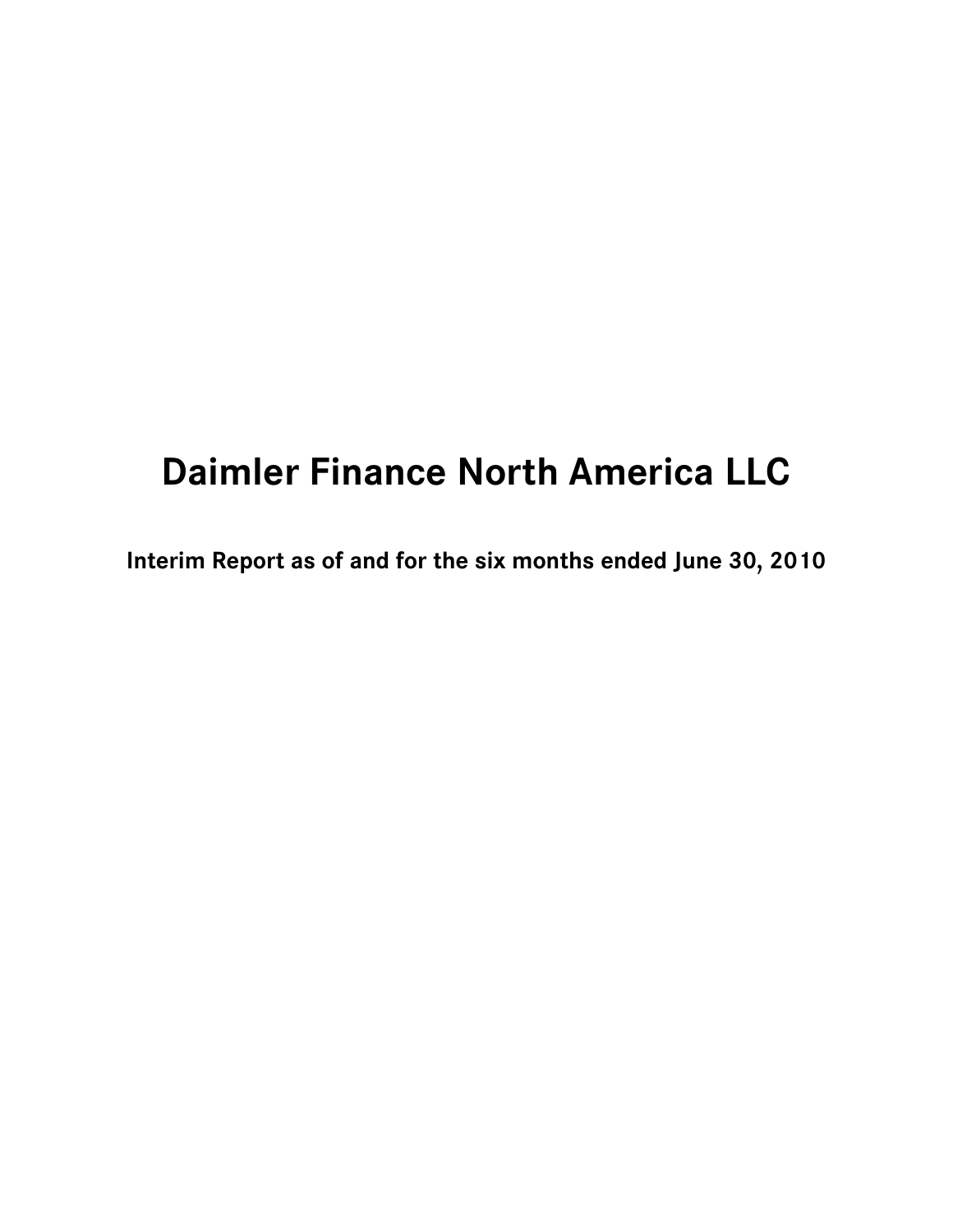# **Daimler Finance North America LLC**

**Interim Report as of and for the six months ended June 30, 2010**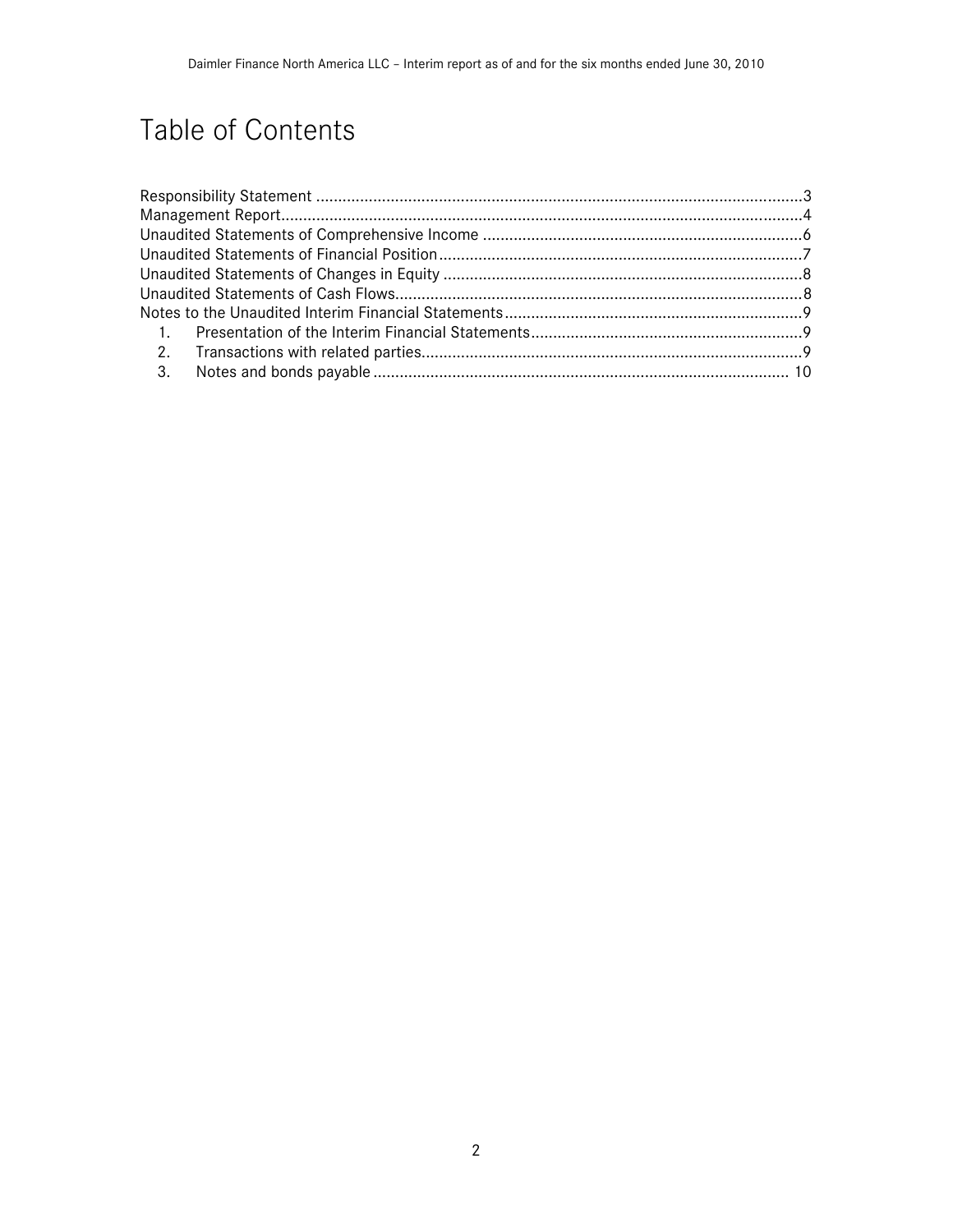# Table of Contents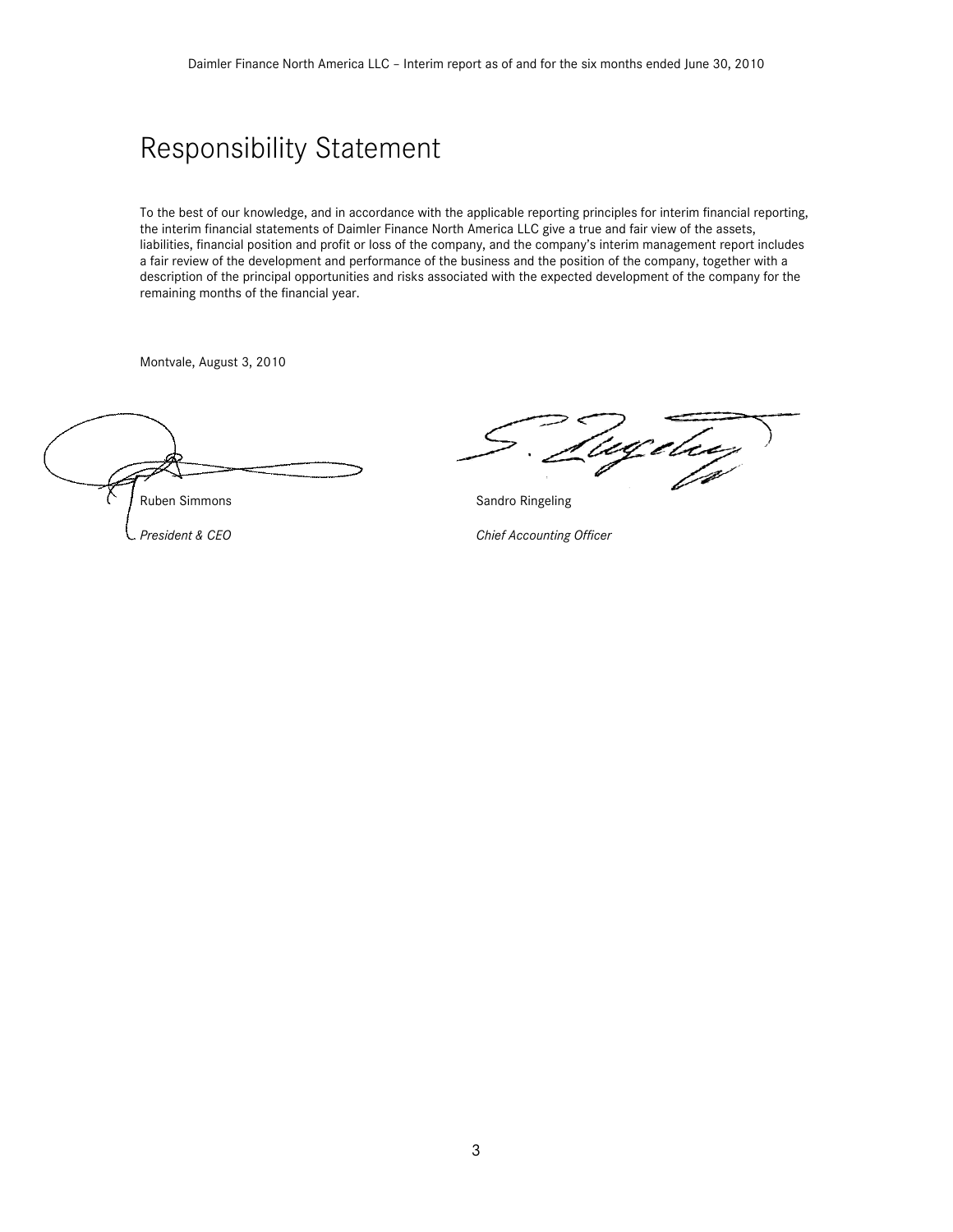### Responsibility Statement

To the best of our knowledge, and in accordance with the applicable reporting principles for interim financial reporting, the interim financial statements of Daimler Finance North America LLC give a true and fair view of the assets, liabilities, financial position and profit or loss of the company, and the company's interim management report includes a fair review of the development and performance of the business and the position of the company, together with a description of the principal opportunities and risks associated with the expected development of the company for the remaining months of the financial year.

Montvale, August 3, 2010

Ruben Simmons **Sandro Ringeling** Sandro Ringeling

(ugeleeg

President & CEO Chief Accounting Officer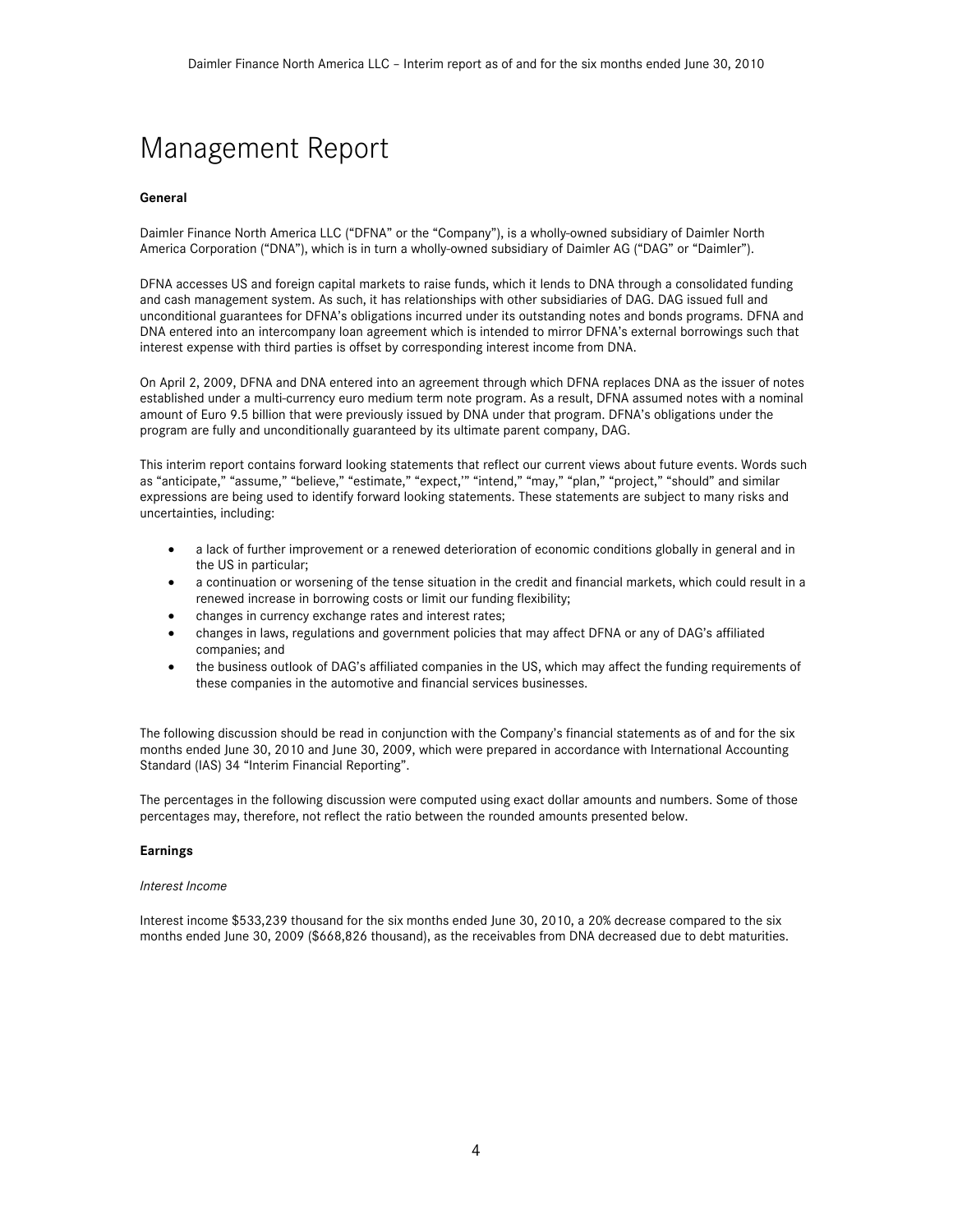# Management Report

### **General**

Daimler Finance North America LLC ("DFNA" or the "Company"), is a wholly-owned subsidiary of Daimler North America Corporation ("DNA"), which is in turn a wholly-owned subsidiary of Daimler AG ("DAG" or "Daimler").

DFNA accesses US and foreign capital markets to raise funds, which it lends to DNA through a consolidated funding and cash management system. As such, it has relationships with other subsidiaries of DAG. DAG issued full and unconditional guarantees for DFNA's obligations incurred under its outstanding notes and bonds programs. DFNA and DNA entered into an intercompany loan agreement which is intended to mirror DFNA's external borrowings such that interest expense with third parties is offset by corresponding interest income from DNA.

On April 2, 2009, DFNA and DNA entered into an agreement through which DFNA replaces DNA as the issuer of notes established under a multi-currency euro medium term note program. As a result, DFNA assumed notes with a nominal amount of Euro 9.5 billion that were previously issued by DNA under that program. DFNA's obligations under the program are fully and unconditionally guaranteed by its ultimate parent company, DAG.

This interim report contains forward looking statements that reflect our current views about future events. Words such as "anticipate," "assume," "believe," "estimate," "expect," "intend," "may," "plan," "project," "should" and similar expressions are being used to identify forward looking statements. These statements are subject to many risks and uncertainties, including:

- a lack of further improvement or a renewed deterioration of economic conditions globally in general and in the US in particular;
- a continuation or worsening of the tense situation in the credit and financial markets, which could result in a renewed increase in borrowing costs or limit our funding flexibility;
- changes in currency exchange rates and interest rates;
- changes in laws, regulations and government policies that may affect DFNA or any of DAG's affiliated companies; and
- the business outlook of DAG's affiliated companies in the US, which may affect the funding requirements of these companies in the automotive and financial services businesses.

The following discussion should be read in conjunction with the Company's financial statements as of and for the six months ended June 30, 2010 and June 30, 2009, which were prepared in accordance with International Accounting Standard (IAS) 34 "Interim Financial Reporting".

The percentages in the following discussion were computed using exact dollar amounts and numbers. Some of those percentages may, therefore, not reflect the ratio between the rounded amounts presented below.

#### **Earnings**

#### *Interest Income*

Interest income \$533,239 thousand for the six months ended June 30, 2010, a 20% decrease compared to the six months ended June 30, 2009 (\$668,826 thousand), as the receivables from DNA decreased due to debt maturities.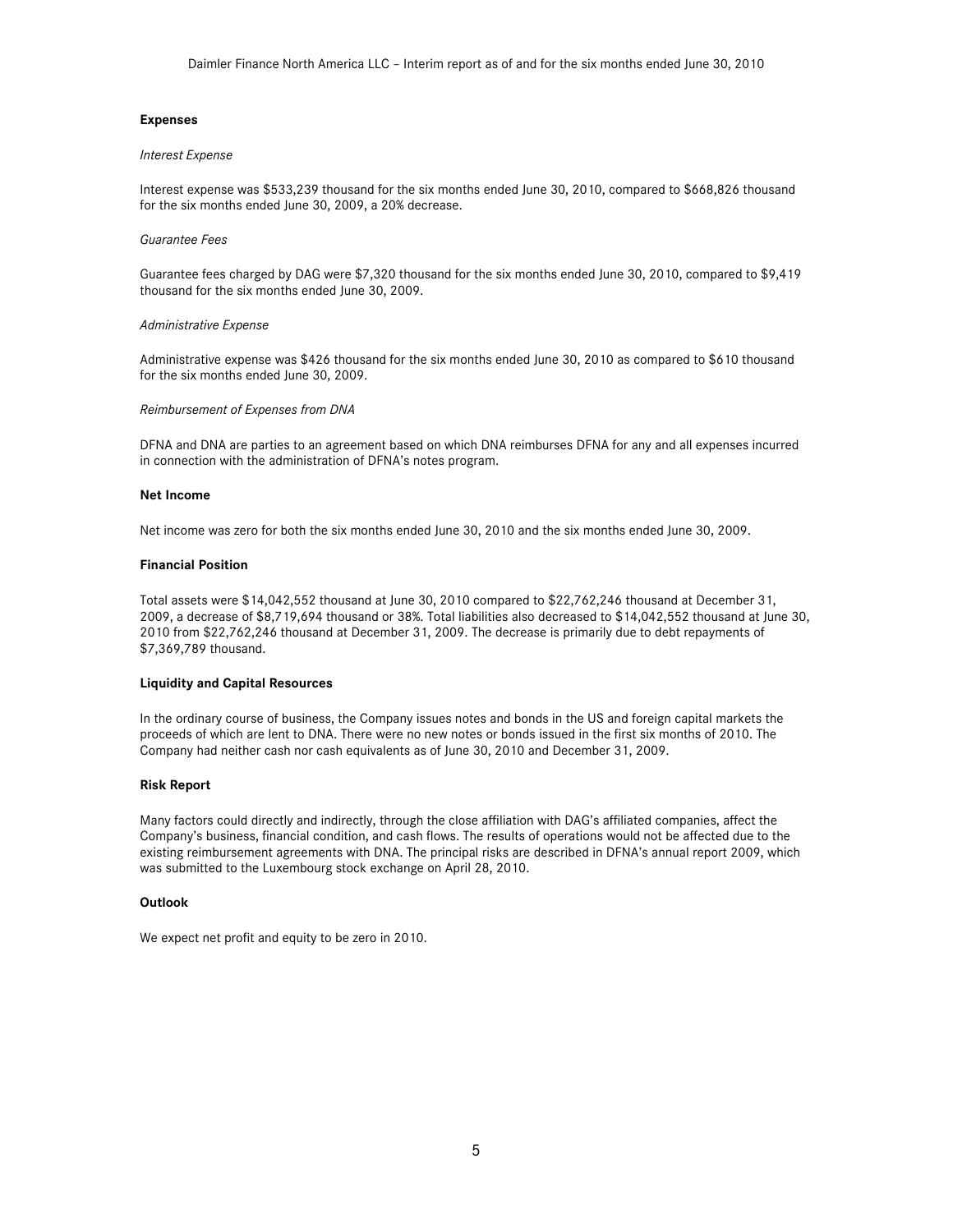### **Expenses**

#### *Interest Expense*

Interest expense was \$533,239 thousand for the six months ended June 30, 2010, compared to \$668,826 thousand for the six months ended June 30, 2009, a 20% decrease.

#### *Guarantee Fees*

Guarantee fees charged by DAG were \$7,320 thousand for the six months ended June 30, 2010, compared to \$9,419 thousand for the six months ended June 30, 2009.

### *Administrative Expense*

Administrative expense was \$426 thousand for the six months ended June 30, 2010 as compared to \$610 thousand for the six months ended June 30, 2009.

#### *Reimbursement of Expenses from DNA*

DFNA and DNA are parties to an agreement based on which DNA reimburses DFNA for any and all expenses incurred in connection with the administration of DFNA's notes program.

#### **Net Income**

Net income was zero for both the six months ended June 30, 2010 and the six months ended June 30, 2009.

### **Financial Position**

Total assets were \$14,042,552 thousand at June 30, 2010 compared to \$22,762,246 thousand at December 31, 2009, a decrease of \$8,719,694 thousand or 38%. Total liabilities also decreased to \$14,042,552 thousand at June 30, 2010 from \$22,762,246 thousand at December 31, 2009. The decrease is primarily due to debt repayments of \$7,369,789 thousand.

### **Liquidity and Capital Resources**

In the ordinary course of business, the Company issues notes and bonds in the US and foreign capital markets the proceeds of which are lent to DNA. There were no new notes or bonds issued in the first six months of 2010. The Company had neither cash nor cash equivalents as of June 30, 2010 and December 31, 2009.

#### **Risk Report**

Many factors could directly and indirectly, through the close affiliation with DAG's affiliated companies, affect the Company's business, financial condition, and cash flows. The results of operations would not be affected due to the existing reimbursement agreements with DNA. The principal risks are described in DFNA's annual report 2009, which was submitted to the Luxembourg stock exchange on April 28, 2010.

#### **Outlook**

We expect net profit and equity to be zero in 2010.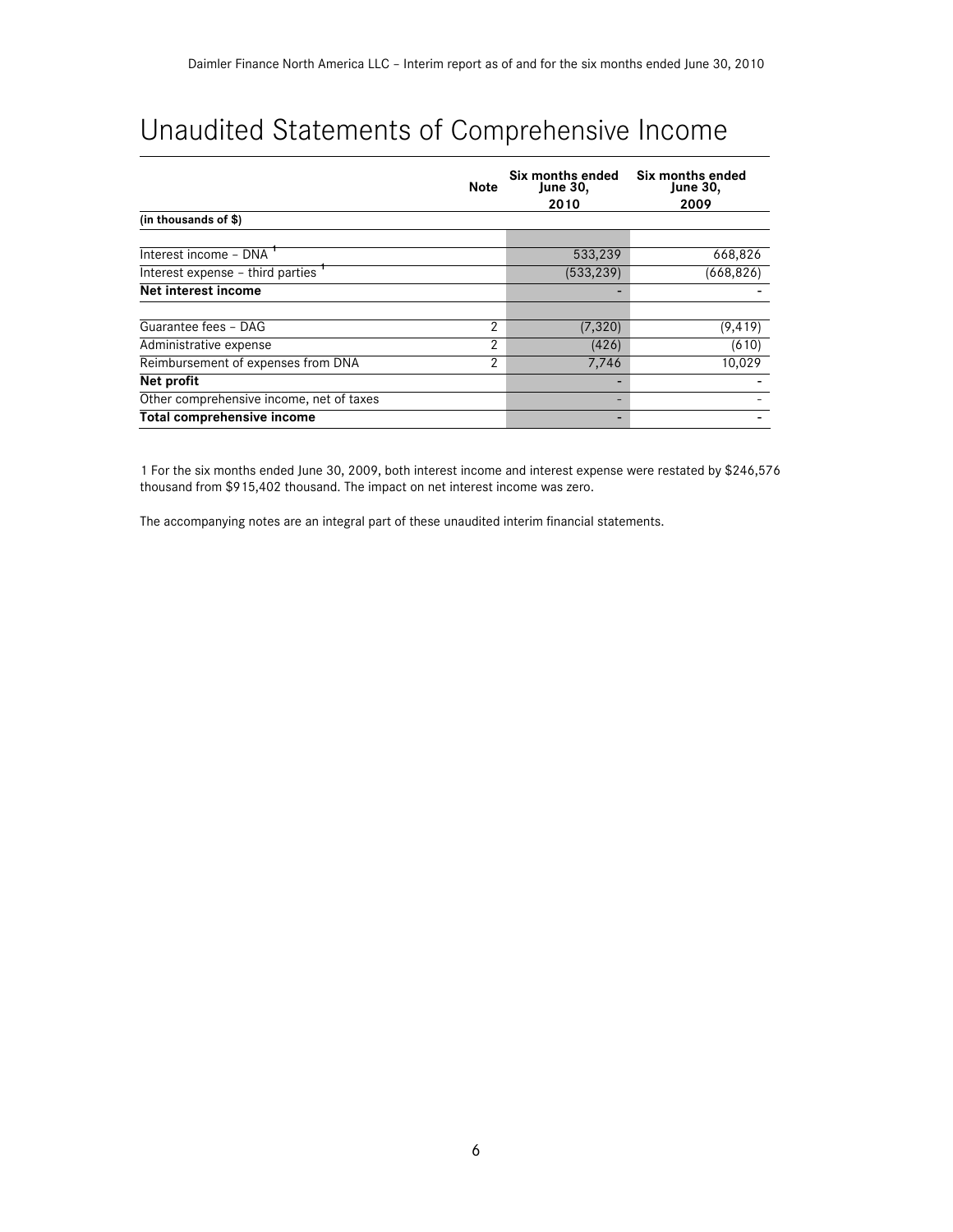# Unaudited Statements of Comprehensive Income

|                                          | Note           | Six months ended<br><b>June 30,</b><br>2010 | Six months ended<br>June 30,<br>2009 |
|------------------------------------------|----------------|---------------------------------------------|--------------------------------------|
| (in thousands of \$)                     |                |                                             |                                      |
| Interest income - DNA '                  |                | 533,239                                     | 668,826                              |
| Interest expense - third parties         |                | (533, 239)                                  | (668, 826)                           |
| Net interest income                      |                |                                             |                                      |
| Guarantee fees - DAG                     | $\overline{2}$ | (7, 320)                                    | (9, 419)                             |
| Administrative expense                   | 2              | (426)                                       | (610)                                |
| Reimbursement of expenses from DNA       | 2              | 7,746                                       | 10,029                               |
| Net profit                               |                |                                             |                                      |
| Other comprehensive income, net of taxes |                |                                             |                                      |
| Total comprehensive income               |                |                                             |                                      |

1 For the six months ended June 30, 2009, both interest income and interest expense were restated by \$246,576 thousand from \$915,402 thousand. The impact on net interest income was zero.

The accompanying notes are an integral part of these unaudited interim financial statements.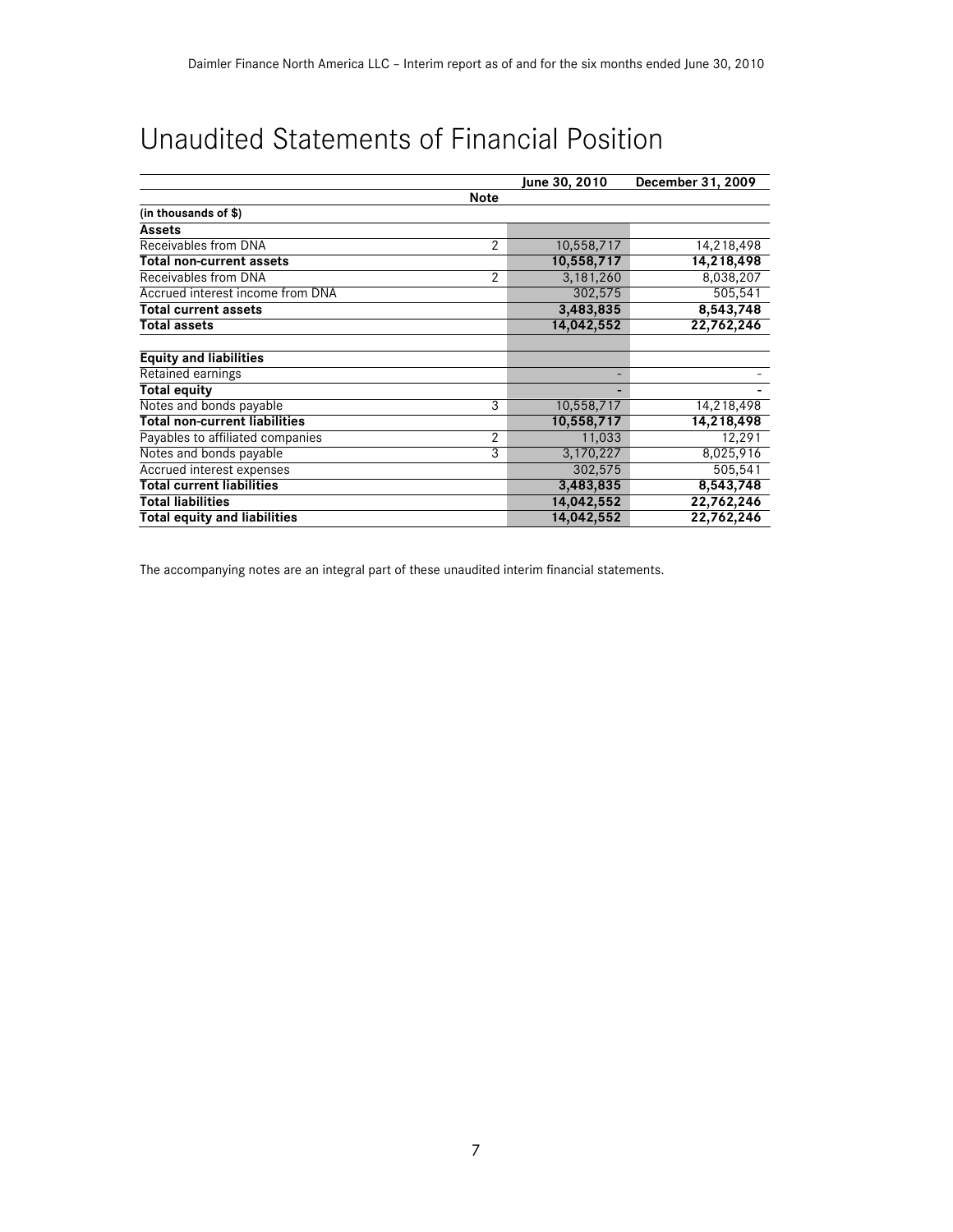# Unaudited Statements of Financial Position

|                                      |                | June 30, 2010 | December 31, 2009 |
|--------------------------------------|----------------|---------------|-------------------|
|                                      | <b>Note</b>    |               |                   |
| (in thousands of \$)                 |                |               |                   |
| <b>Assets</b>                        |                |               |                   |
| Receivables from DNA                 | 2              | 10,558,717    | 14,218,498        |
| Total non-current assets             |                | 10,558,717    | 14,218,498        |
| Receivables from DNA                 | $\overline{2}$ | 3,181,260     | 8,038,207         |
| Accrued interest income from DNA     |                | 302,575       | 505,541           |
| <b>Total current assets</b>          |                | 3,483,835     | 8,543,748         |
| <b>Total assets</b>                  |                | 14,042,552    | 22,762,246        |
|                                      |                |               |                   |
| <b>Equity and liabilities</b>        |                |               |                   |
| Retained earnings                    |                |               |                   |
| <b>Total equity</b>                  |                |               |                   |
| Notes and bonds payable              | 3              | 10,558,717    | 14,218,498        |
| <b>Total non-current liabilities</b> |                | 10,558,717    | 14,218,498        |
| Payables to affiliated companies     | $\overline{2}$ | 11,033        | 12,291            |
| Notes and bonds payable              | 3              | 3,170,227     | 8,025,916         |
| Accrued interest expenses            |                | 302,575       | 505,541           |
| <b>Total current liabilities</b>     |                | 3,483,835     | 8,543,748         |
| <b>Total liabilities</b>             |                | 14,042,552    | 22,762,246        |
| <b>Total equity and liabilities</b>  |                | 14,042,552    | 22,762,246        |

The accompanying notes are an integral part of these unaudited interim financial statements.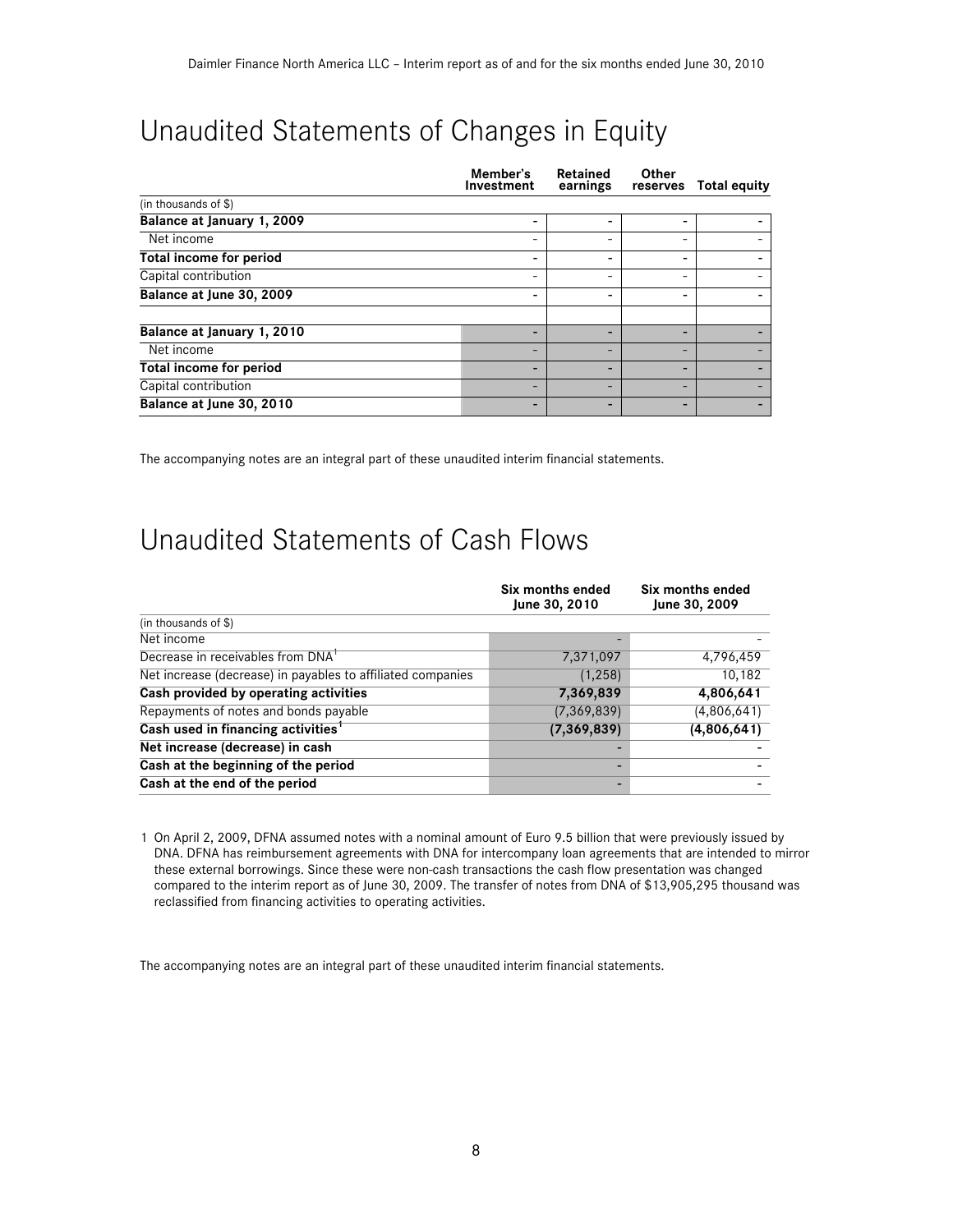# Unaudited Statements of Changes in Equity

|                                | Member's<br>Investment   | Retained<br>earnings     | Other<br>reserves | <b>Total equity</b> |
|--------------------------------|--------------------------|--------------------------|-------------------|---------------------|
| (in thousands of \$)           |                          |                          |                   |                     |
| Balance at January 1, 2009     | -                        | -                        | -                 |                     |
| Net income                     |                          | -                        |                   |                     |
| <b>Total income for period</b> |                          |                          |                   |                     |
| Capital contribution           |                          | -                        | -                 |                     |
| Balance at June 30, 2009       |                          |                          |                   |                     |
| Balance at January 1, 2010     |                          | -                        |                   |                     |
| Net income                     |                          | -                        | -                 |                     |
| <b>Total income for period</b> |                          | -                        | -                 |                     |
| Capital contribution           | $\overline{\phantom{0}}$ | $\overline{\phantom{0}}$ | -                 |                     |
| Balance at June 30, 2010       |                          |                          |                   |                     |

The accompanying notes are an integral part of these unaudited interim financial statements.

# Unaudited Statements of Cash Flows

|                                                             | Six months ended<br>June 30, 2010 | Six months ended<br>June 30, 2009 |
|-------------------------------------------------------------|-----------------------------------|-----------------------------------|
| (in thousands of \$)                                        |                                   |                                   |
| Net income                                                  |                                   |                                   |
| Decrease in receivables from DNA'                           | 7,371,097                         | 4,796,459                         |
| Net increase (decrease) in payables to affiliated companies | (1,258)                           | 10,182                            |
| Cash provided by operating activities                       | 7,369,839                         | 4,806,641                         |
| Repayments of notes and bonds payable                       | (7, 369, 839)                     | (4,806,641)                       |
| Cash used in financing activities <sup>1</sup>              | (7, 369, 839)                     | (4,806,641)                       |
| Net increase (decrease) in cash                             |                                   |                                   |
| Cash at the beginning of the period                         |                                   |                                   |
| Cash at the end of the period                               |                                   |                                   |

1 On April 2, 2009, DFNA assumed notes with a nominal amount of Euro 9.5 billion that were previously issued by DNA. DFNA has reimbursement agreements with DNA for intercompany loan agreements that are intended to mirror these external borrowings. Since these were non-cash transactions the cash flow presentation was changed compared to the interim report as of June 30, 2009. The transfer of notes from DNA of \$13,905,295 thousand was reclassified from financing activities to operating activities.

The accompanying notes are an integral part of these unaudited interim financial statements.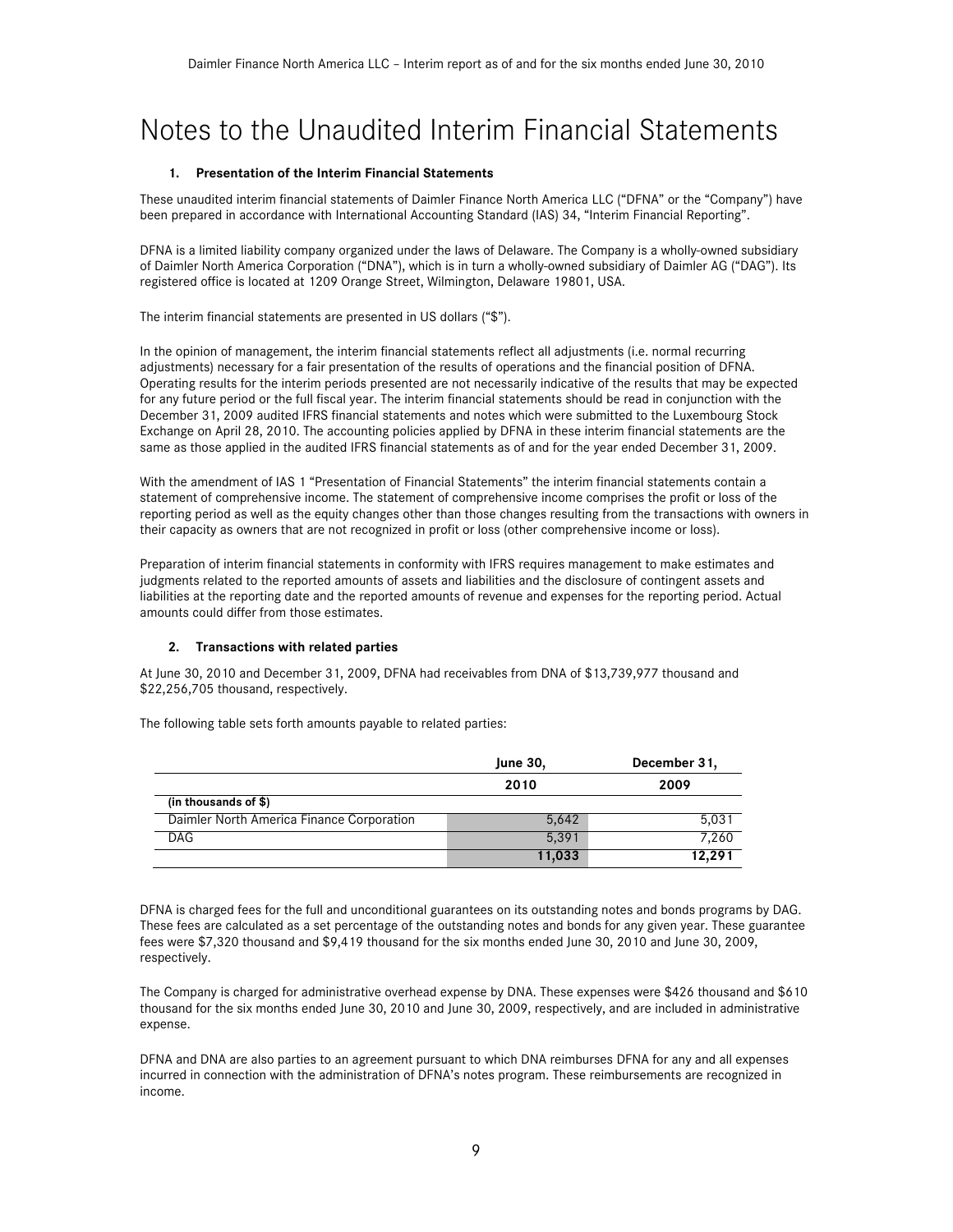# Notes to the Unaudited Interim Financial Statements

### **1. Presentation of the Interim Financial Statements**

These unaudited interim financial statements of Daimler Finance North America LLC ("DFNA" or the "Company") have been prepared in accordance with International Accounting Standard (IAS) 34, "Interim Financial Reporting".

DFNA is a limited liability company organized under the laws of Delaware. The Company is a wholly-owned subsidiary of Daimler North America Corporation ("DNA"), which is in turn a wholly-owned subsidiary of Daimler AG ("DAG"). Its registered office is located at 1209 Orange Street, Wilmington, Delaware 19801, USA.

The interim financial statements are presented in US dollars ("\$").

In the opinion of management, the interim financial statements reflect all adjustments (i.e. normal recurring adjustments) necessary for a fair presentation of the results of operations and the financial position of DFNA. Operating results for the interim periods presented are not necessarily indicative of the results that may be expected for any future period or the full fiscal year. The interim financial statements should be read in conjunction with the December 31, 2009 audited IFRS financial statements and notes which were submitted to the Luxembourg Stock Exchange on April 28, 2010. The accounting policies applied by DFNA in these interim financial statements are the same as those applied in the audited IFRS financial statements as of and for the year ended December 31, 2009.

With the amendment of IAS 1 "Presentation of Financial Statements" the interim financial statements contain a statement of comprehensive income. The statement of comprehensive income comprises the profit or loss of the reporting period as well as the equity changes other than those changes resulting from the transactions with owners in their capacity as owners that are not recognized in profit or loss (other comprehensive income or loss).

Preparation of interim financial statements in conformity with IFRS requires management to make estimates and judgments related to the reported amounts of assets and liabilities and the disclosure of contingent assets and liabilities at the reporting date and the reported amounts of revenue and expenses for the reporting period. Actual amounts could differ from those estimates.

### **2. Transactions with related parties**

At June 30, 2010 and December 31, 2009, DFNA had receivables from DNA of \$13,739,977 thousand and \$22,256,705 thousand, respectively.

The following table sets forth amounts payable to related parties:

|                                           | <b>June 30,</b> | December 31, |  |
|-------------------------------------------|-----------------|--------------|--|
|                                           | 2010            | 2009         |  |
| (in thousands of \$)                      |                 |              |  |
| Daimler North America Finance Corporation | 5.642           | 5,031        |  |
| <b>DAG</b>                                | 5.391           | 7,260        |  |
|                                           | 11,033          | 12,291       |  |

DFNA is charged fees for the full and unconditional guarantees on its outstanding notes and bonds programs by DAG. These fees are calculated as a set percentage of the outstanding notes and bonds for any given year. These guarantee fees were \$7,320 thousand and \$9,419 thousand for the six months ended June 30, 2010 and June 30, 2009, respectively.

The Company is charged for administrative overhead expense by DNA. These expenses were \$426 thousand and \$610 thousand for the six months ended June 30, 2010 and June 30, 2009, respectively, and are included in administrative expense.

DFNA and DNA are also parties to an agreement pursuant to which DNA reimburses DFNA for any and all expenses incurred in connection with the administration of DFNA's notes program. These reimbursements are recognized in income.